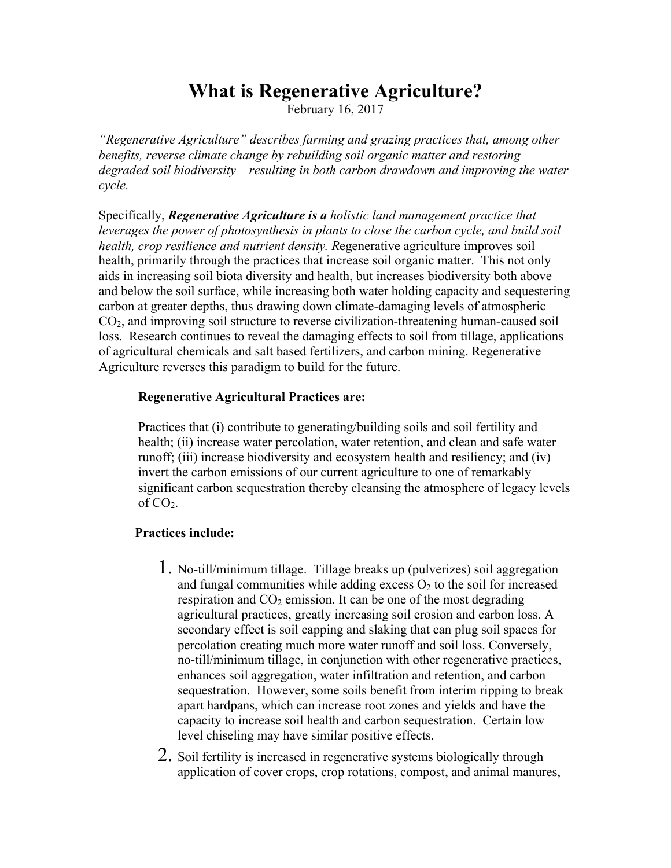## **What is Regenerative Agriculture?**

February 16, 2017

*"Regenerative Agriculture" describes farming and grazing practices that, among other benefits, reverse climate change by rebuilding soil organic matter and restoring degraded soil biodiversity – resulting in both carbon drawdown and improving the water cycle.*

Specifically, *Regenerative Agriculture is a holistic land management practice that leverages the power of photosynthesis in plants to close the carbon cycle, and build soil health, crop resilience and nutrient density. R*egenerative agriculture improves soil health, primarily through the practices that increase soil organic matter. This not only aids in increasing soil biota diversity and health, but increases biodiversity both above and below the soil surface, while increasing both water holding capacity and sequestering carbon at greater depths, thus drawing down climate-damaging levels of atmospheric  $CO<sub>2</sub>$ , and improving soil structure to reverse civilization-threatening human-caused soil loss. Research continues to reveal the damaging effects to soil from tillage, applications of agricultural chemicals and salt based fertilizers, and carbon mining. Regenerative Agriculture reverses this paradigm to build for the future.

## **Regenerative Agricultural Practices are:**

Practices that (i) contribute to generating/building soils and soil fertility and health; (ii) increase water percolation, water retention, and clean and safe water runoff; (iii) increase biodiversity and ecosystem health and resiliency; and (iv) invert the carbon emissions of our current agriculture to one of remarkably significant carbon sequestration thereby cleansing the atmosphere of legacy levels of  $CO<sub>2</sub>$ .

## **Practices include:**

- 1. No-till/minimum tillage. Tillage breaks up (pulverizes) soil aggregation and fungal communities while adding excess  $O_2$  to the soil for increased respiration and  $CO<sub>2</sub>$  emission. It can be one of the most degrading agricultural practices, greatly increasing soil erosion and carbon loss. A secondary effect is soil capping and slaking that can plug soil spaces for percolation creating much more water runoff and soil loss. Conversely, no-till/minimum tillage, in conjunction with other regenerative practices, enhances soil aggregation, water infiltration and retention, and carbon sequestration. However, some soils benefit from interim ripping to break apart hardpans, which can increase root zones and yields and have the capacity to increase soil health and carbon sequestration. Certain low level chiseling may have similar positive effects.
- 2. Soil fertility is increased in regenerative systems biologically through application of cover crops, crop rotations, compost, and animal manures,